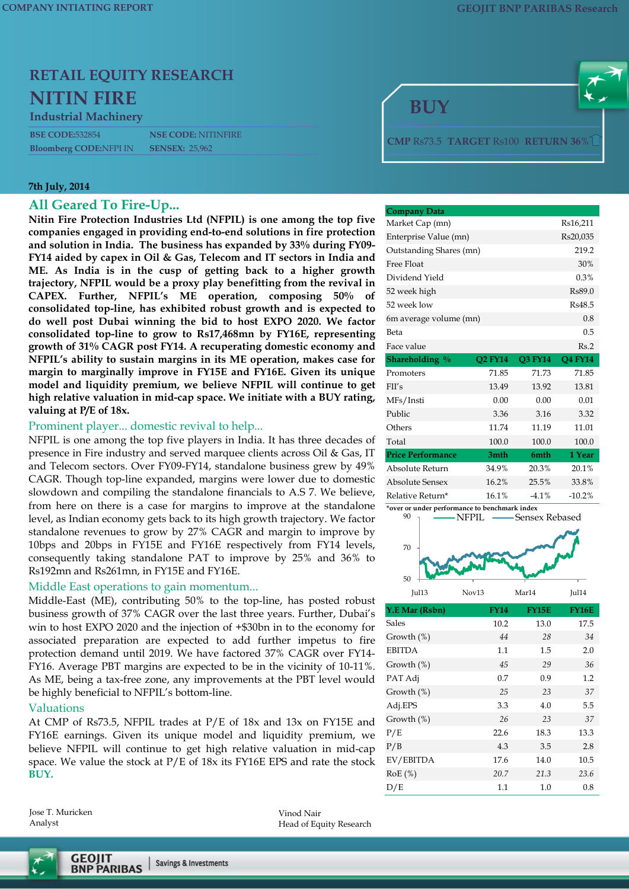# **RETAIL EQUITY RESEARCH NITIN FIRE**

#### **Industrial Machinery**

**Bloomberg CODE:NFPI IN** 

#### **7th July, 2014**

#### **All Geared To Fire-Up...**

**Nitin Fire Protection Industries Ltd (NFPIL) is one among the top five companies engaged in providing end-to-end solutions in fire protection and solution in India. The business has expanded by 33% during FY09- FY14 aided by capex in Oil & Gas, Telecom and IT sectors in India and ME. As India is in the cusp of getting back to a higher growth trajectory, NFPIL would be a proxy play benefitting from the revival in CAPEX. Further, NFPIL's ME operation, composing 50% of consolidated top-line, has exhibited robust growth and is expected to do well post Dubai winning the bid to host EXPO 2020. We factor consolidated top-line to grow to Rs17,468mn by FY16E, representing growth of 31% CAGR post FY14. A recuperating domestic economy and NFPIL's ability to sustain margins in its ME operation, makes case for margin to marginally improve in FY15E and FY16E. Given its unique model and liquidity premium, we believe NFPIL will continue to get high relative valuation in mid-cap space. We initiate with a BUY rating, valuing at P/E of 18x.**

#### Prominent player... domestic revival to help...

NFPIL is one among the top five players in India. It has three decades of presence in Fire industry and served marquee clients across Oil & Gas, IT and Telecom sectors. Over FY09-FY14, standalone business grew by 49% CAGR. Though top-line expanded, margins were lower due to domestic slowdown and compiling the standalone financials to A.S 7. We believe, from here on there is a case for margins to improve at the standalone level, as Indian economy gets back to its high growth trajectory. We factor standalone revenues to grow by 27% CAGR and margin to improve by 10bps and 20bps in FY15E and FY16E respectively from FY14 levels, consequently taking standalone PAT to improve by 25% and 36% to Rs192mn and Rs261mn, in FY15E and FY16E.

#### Middle East operations to gain momentum...

Middle-East (ME), contributing 50% to the top-line, has posted robust business growth of 37% CAGR over the last three years. Further, Dubai's win to host EXPO 2020 and the injection of +\$30bn in to the economy for associated preparation are expected to add further impetus to fire protection demand until 2019. We have factored 37% CAGR over FY14- FY16. Average PBT margins are expected to be in the vicinity of 10-11%. As ME, being a tax-free zone, any improvements at the PBT level would be highly beneficial to NFPIL's bottom-line.

#### Valuations

At CMP of Rs73.5, NFPIL trades at P/E of 18x and 13x on FY15E and FY16E earnings. Given its unique model and liquidity premium, we believe NFPIL will continue to get high relative valuation in mid-cap space. We value the stock at P/E of 18x its FY16E EPS and rate the stock **BUY.**

Jose T. Muricken Analyst

Vinod Nair Head of Equity Research





| <b>Company Data</b>         |                |                |                |  |  |
|-----------------------------|----------------|----------------|----------------|--|--|
| Market Cap (mn)<br>Rs16,211 |                |                |                |  |  |
| Enterprise Value (mn)       | Rs20,035       |                |                |  |  |
| Outstanding Shares (mn)     |                |                | 219.2          |  |  |
| Free Float                  |                |                | 30%            |  |  |
| Dividend Yield              |                |                | 0.3%           |  |  |
| 52 week high                |                |                | Rs89.0         |  |  |
| 52 week low                 |                |                | Rs48.5         |  |  |
| 6m average volume (mn)      |                |                | 0.8            |  |  |
| Beta                        |                |                | 0.5            |  |  |
| Face value                  |                |                | Rs.2           |  |  |
| Shareholding %              | <b>O2 FY14</b> | <b>O3 FY14</b> | <b>Q4 FY14</b> |  |  |
| Promoters                   | 71.85          | 71.73          | 71.85          |  |  |
|                             |                |                |                |  |  |
| FII's                       | 13.49          | 13.92          | 13.81          |  |  |
| MFs/Insti                   | 0.00           | 0.00           | 0.01           |  |  |
| Public                      | 3.36           | 3.16           | 3.32           |  |  |
| Others                      | 11.74          | 11.19          | 11.01          |  |  |
| Total                       | 100.0          | 100.0          | 100.0          |  |  |
| <b>Price Performance</b>    | 3mth           | 6mth           | 1 Year         |  |  |
| Absolute Return             | 34.9%          | 20.3%          | 20.1%          |  |  |
| Absolute Sensex             | 16.2%          | 25.5%          | 33.8%          |  |  |



Jul13 Nov13 Mar14 Jul14

| Y.E Mar (Rsbn) | <b>FY14</b> | <b>FY15E</b> | <b>FY16E</b> |
|----------------|-------------|--------------|--------------|
| Sales          | 10.2        | 13.0         | 17.5         |
| Growth (%)     | 44          | 28           | 34           |
| <b>EBITDA</b>  | 1.1         | 1.5          | 2.0          |
| Growth $(\%)$  | 45          | 29           | 36           |
| PAT Adj        | 0.7         | 0.9          | 1.2          |
| Growth $(\%)$  | 25          | 23           | 37           |
| Adj.EPS        | 3.3         | 4.0          | 5.5          |
| Growth $(\%)$  | 26          | 23           | 37           |
| P/E            | 22.6        | 18.3         | 13.3         |
| P/B            | 4.3         | 3.5          | 2.8          |
| EV/EBITDA      | 17.6        | 14.0         | 10.5         |
| RoE(%)         | 20.7        | 21.3         | 23.6         |
| D/E            | $1.1\,$     | 1.0          | 0.8          |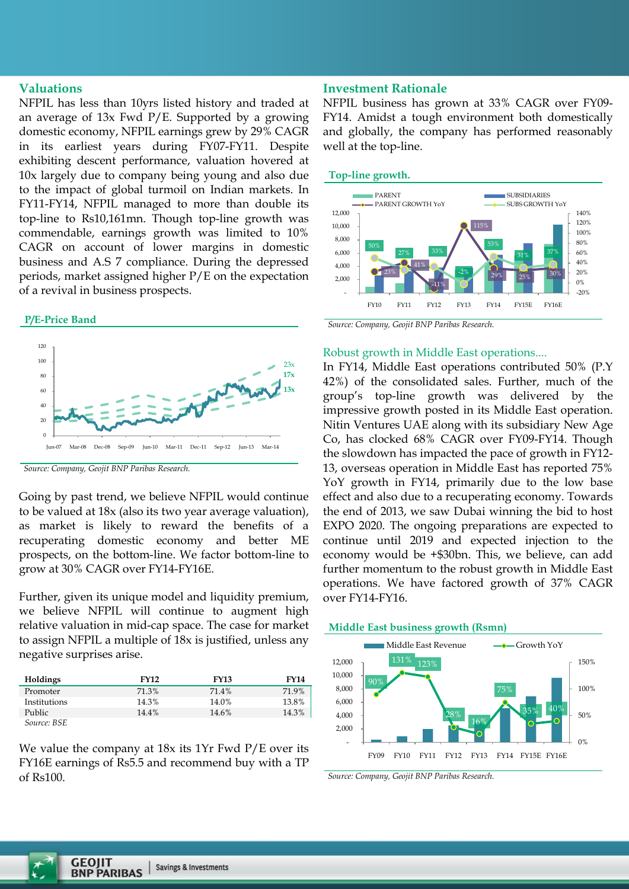#### **Valuations**

NFPIL has less than 10yrs listed history and traded at an average of 13x Fwd P/E. Supported by a growing domestic economy, NFPIL earnings grew by 29% CAGR in its earliest years during FY07-FY11. Despite exhibiting descent performance, valuation hovered at 10x largely due to company being young and also due to the impact of global turmoil on Indian markets. In FY11-FY14, NFPIL managed to more than double its top-line to Rs10,161mn. Though top-line growth was commendable, earnings growth was limited to 10% CAGR on account of lower margins in domestic business and A.S 7 compliance. During the depressed periods, market assigned higher P/E on the expectation of a revival in business prospects.

#### **P/E-Price Band**



*Source: Company, Geojit BNP Paribas Research.*

Going by past trend, we believe NFPIL would continue to be valued at 18x (also its two year average valuation), as market is likely to reward the benefits of a recuperating domestic economy and better ME prospects, on the bottom-line. We factor bottom-line to grow at 30% CAGR over FY14-FY16E.

Further, given its unique model and liquidity premium, we believe NFPIL will continue to augment high relative valuation in mid-cap space. The case for market to assign NFPIL a multiple of 18x is justified, unless any negative surprises arise.

| <b>Holdings</b> | <b>FY12</b> | <b>FY13</b> | <b>FY14</b> |
|-----------------|-------------|-------------|-------------|
| Promoter        | 71.3%       | 71.4%       | 71.9%       |
| Institutions    | 14.3%       | 14.0%       | 13.8%       |
| Public          | 14.4%       | 14.6%       | 14.3%       |
| Source: BSE     |             |             |             |

We value the company at 18x its 1Yr Fwd P/E over its FY16E earnings of Rs5.5 and recommend buy with a TP of Rs100.

# **Investment Rationale**

NFPIL business has grown at 33% CAGR over FY09- FY14. Amidst a tough environment both domestically and globally, the company has performed reasonably well at the top-line.

# **Top-line growth.**



*Source: Company, Geojit BNP Paribas Research.*

# Robust growth in Middle East operations....

In FY14, Middle East operations contributed 50% (P.Y 42%) of the consolidated sales. Further, much of the group's top-line growth was delivered by the impressive growth posted in its Middle East operation. Nitin Ventures UAE along with its subsidiary New Age Co, has clocked 68% CAGR over FY09-FY14. Though the slowdown has impacted the pace of growth in FY12- 13, overseas operation in Middle East has reported 75% YoY growth in FY14, primarily due to the low base effect and also due to a recuperating economy. Towards the end of 2013, we saw Dubai winning the bid to host EXPO 2020. The ongoing preparations are expected to continue until 2019 and expected injection to the economy would be +\$30bn. This, we believe, can add further momentum to the robust growth in Middle East operations. We have factored growth of 37% CAGR over FY14-FY16.



*Source: Company, Geojit BNP Paribas Research.*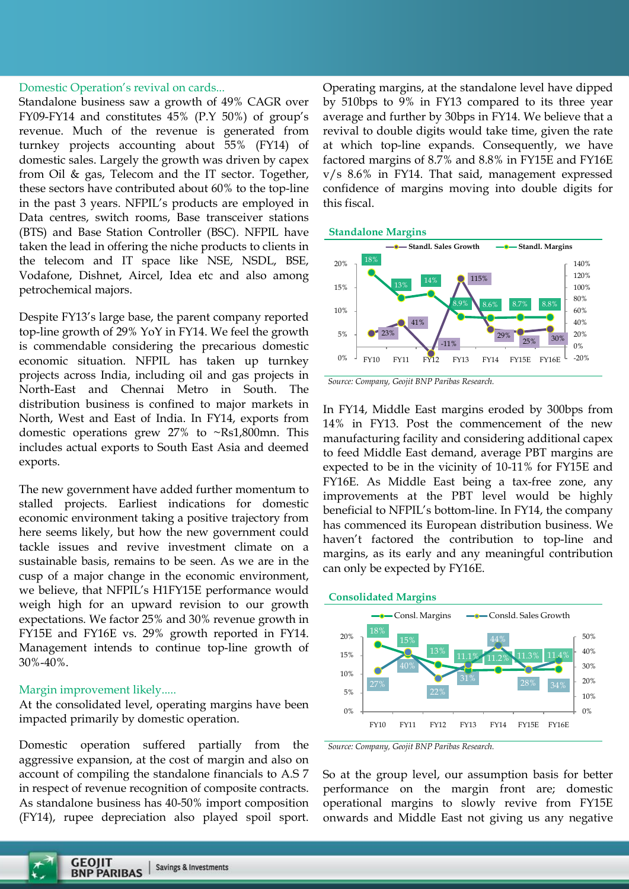Domestic Operation's revival on cards...

Standalone business saw a growth of 49% CAGR over FY09-FY14 and constitutes 45% (P.Y 50%) of group's revenue. Much of the revenue is generated from turnkey projects accounting about 55% (FY14) of domestic sales. Largely the growth was driven by capex from Oil & gas, Telecom and the IT sector. Together, these sectors have contributed about 60% to the top-line in the past 3 years. NFPIL's products are employed in Data centres, switch rooms, Base transceiver stations (BTS) and Base Station Controller (BSC). NFPIL have taken the lead in offering the niche products to clients in the telecom and IT space like NSE, NSDL, BSE, Vodafone, Dishnet, Aircel, Idea etc and also among petrochemical majors.

Despite FY13's large base, the parent company reported top-line growth of 29% YoY in FY14. We feel the growth is commendable considering the precarious domestic economic situation. NFPIL has taken up turnkey projects across India, including oil and gas projects in North-East and Chennai Metro in South. The distribution business is confined to major markets in North, West and East of India. In FY14, exports from domestic operations grew 27% to ~Rs1,800mn. This includes actual exports to South East Asia and deemed exports.

The new government have added further momentum to stalled projects. Earliest indications for domestic economic environment taking a positive trajectory from here seems likely, but how the new government could tackle issues and revive investment climate on a sustainable basis, remains to be seen. As we are in the cusp of a major change in the economic environment, we believe, that NFPIL's H1FY15E performance would weigh high for an upward revision to our growth expectations. We factor 25% and 30% revenue growth in FY15E and FY16E vs. 29% growth reported in FY14. Management intends to continue top-line growth of 30%-40%.

#### Margin improvement likely.....

At the consolidated level, operating margins have been impacted primarily by domestic operation.

Domestic operation suffered partially from the aggressive expansion, at the cost of margin and also on account of compiling the standalone financials to A.S 7 in respect of revenue recognition of composite contracts. As standalone business has 40-50% import composition (FY14), rupee depreciation also played spoil sport.

Operating margins, at the standalone level have dipped by 510bps to 9% in FY13 compared to its three year average and further by 30bps in FY14. We believe that a revival to double digits would take time, given the rate at which top-line expands. Consequently, we have factored margins of 8.7% and 8.8% in FY15E and FY16E v/s 8.6% in FY14. That said, management expressed confidence of margins moving into double digits for this fiscal.







In FY14, Middle East margins eroded by 300bps from 14% in FY13. Post the commencement of the new manufacturing facility and considering additional capex to feed Middle East demand, average PBT margins are expected to be in the vicinity of 10-11% for FY15E and FY16E. As Middle East being a tax-free zone, any improvements at the PBT level would be highly beneficial to NFPIL's bottom-line. In FY14, the company has commenced its European distribution business. We haven't factored the contribution to top-line and margins, as its early and any meaningful contribution can only be expected by FY16E.





*Source: Company, Geojit BNP Paribas Research.*

So at the group level, our assumption basis for better performance on the margin front are; domestic operational margins to slowly revive from FY15E onwards and Middle East not giving us any negative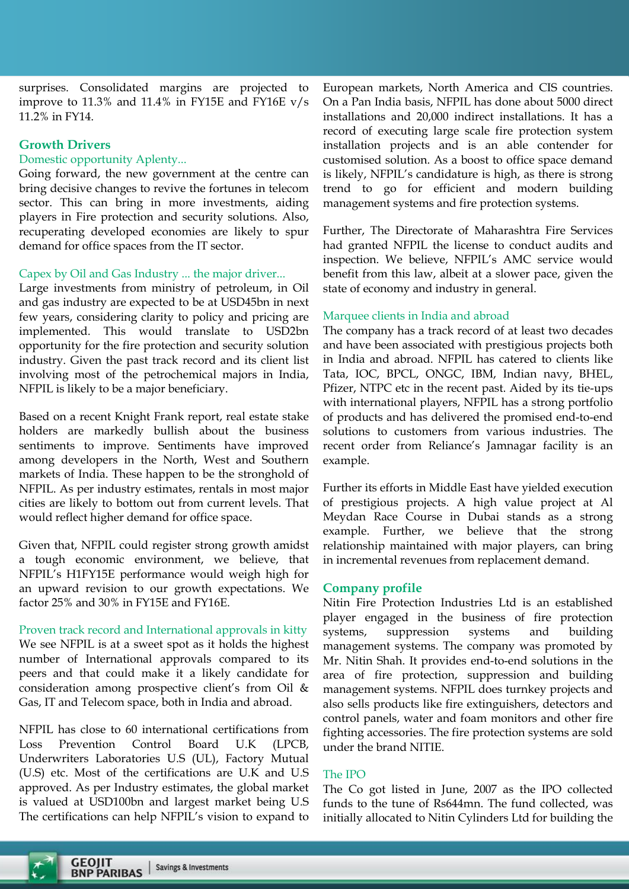surprises. Consolidated margins are projected to improve to 11.3% and 11.4% in FY15E and FY16E v/s 11.2% in FY14.

# **Growth Drivers**

### Domestic opportunity Aplenty...

Going forward, the new government at the centre can bring decisive changes to revive the fortunes in telecom sector. This can bring in more investments, aiding players in Fire protection and security solutions. Also, recuperating developed economies are likely to spur demand for office spaces from the IT sector.

# Capex by Oil and Gas Industry ... the major driver...

Large investments from ministry of petroleum, in Oil and gas industry are expected to be at USD45bn in next few years, considering clarity to policy and pricing are implemented. This would translate to USD2bn opportunity for the fire protection and security solution industry. Given the past track record and its client list involving most of the petrochemical majors in India, NFPIL is likely to be a major beneficiary.

Based on a recent Knight Frank report, real estate stake holders are markedly bullish about the business sentiments to improve. Sentiments have improved among developers in the North, West and Southern markets of India. These happen to be the stronghold of NFPIL. As per industry estimates, rentals in most major cities are likely to bottom out from current levels. That would reflect higher demand for office space.

Given that, NFPIL could register strong growth amidst a tough economic environment, we believe, that NFPIL's H1FY15E performance would weigh high for an upward revision to our growth expectations. We factor 25% and 30% in FY15E and FY16E.

# Proven track record and International approvals in kitty We see NFPIL is at a sweet spot as it holds the highest number of International approvals compared to its peers and that could make it a likely candidate for consideration among prospective client's from Oil & Gas, IT and Telecom space, both in India and abroad.

NFPIL has close to 60 international certifications from Loss Prevention Control Board U.K (LPCB, Underwriters Laboratories U.S (UL), Factory Mutual (U.S) etc. Most of the certifications are U.K and U.S approved. As per Industry estimates, the global market is valued at USD100bn and largest market being U.S The certifications can help NFPIL's vision to expand to

European markets, North America and CIS countries. On a Pan India basis, NFPIL has done about 5000 direct installations and 20,000 indirect installations. It has a record of executing large scale fire protection system installation projects and is an able contender for customised solution. As a boost to office space demand is likely, NFPIL's candidature is high, as there is strong trend to go for efficient and modern building management systems and fire protection systems.

Further, The Directorate of Maharashtra Fire Services had granted NFPIL the license to conduct audits and inspection. We believe, NFPIL's AMC service would benefit from this law, albeit at a slower pace, given the state of economy and industry in general.

# Marquee clients in India and abroad

The company has a track record of at least two decades and have been associated with prestigious projects both in India and abroad. NFPIL has catered to clients like Tata, IOC, BPCL, ONGC, IBM, Indian navy, BHEL, Pfizer, NTPC etc in the recent past. Aided by its tie-ups with international players, NFPIL has a strong portfolio of products and has delivered the promised end-to-end solutions to customers from various industries. The recent order from Reliance's Jamnagar facility is an example.

Further its efforts in Middle East have yielded execution of prestigious projects. A high value project at Al Meydan Race Course in Dubai stands as a strong example. Further, we believe that the strong relationship maintained with major players, can bring in incremental revenues from replacement demand.

# **Company profile**

Nitin Fire Protection Industries Ltd is an established player engaged in the business of fire protection systems, suppression systems and building management systems. The company was promoted by Mr. Nitin Shah. It provides end-to-end solutions in the area of fire protection, suppression and building management systems. NFPIL does turnkey projects and also sells products like fire extinguishers, detectors and control panels, water and foam monitors and other fire fighting accessories. The fire protection systems are sold under the brand NITIE.

# The IPO

The Co got listed in June, 2007 as the IPO collected funds to the tune of Rs644mn. The fund collected, was initially allocated to Nitin Cylinders Ltd for building the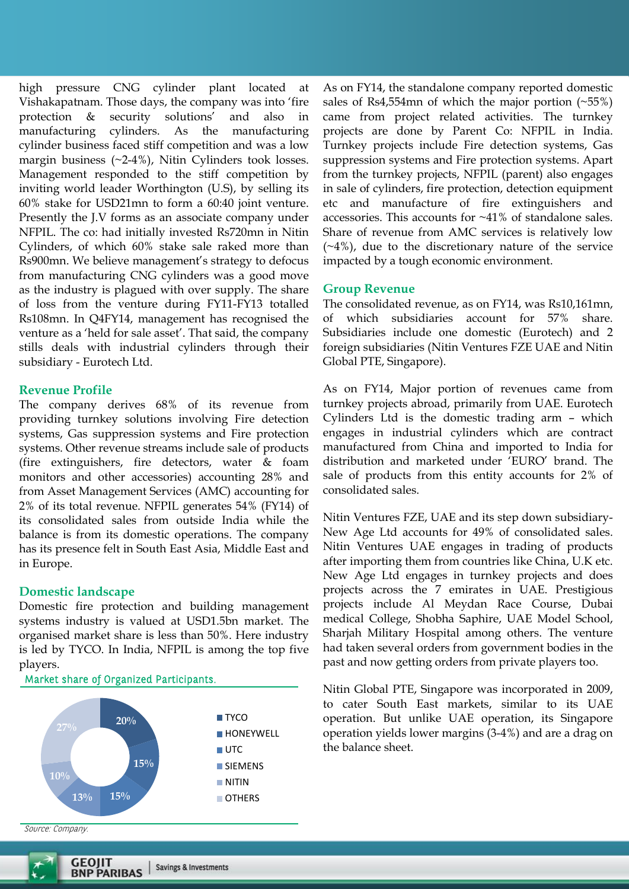high pressure CNG cylinder plant located at Vishakapatnam. Those days, the company was into 'fire protection & security solutions' and also in manufacturing cylinders. As the manufacturing cylinder business faced stiff competition and was a low margin business  $(\sim 2-4\%)$ , Nitin Cylinders took losses. Management responded to the stiff competition by inviting world leader Worthington (U.S), by selling its 60% stake for USD21mn to form a 60:40 joint venture. Presently the J.V forms as an associate company under NFPIL. The co: had initially invested Rs720mn in Nitin Cylinders, of which 60% stake sale raked more than Rs900mn. We believe management's strategy to defocus from manufacturing CNG cylinders was a good move as the industry is plagued with over supply. The share of loss from the venture during FY11-FY13 totalled Rs108mn. In Q4FY14, management has recognised the venture as a 'held for sale asset'. That said, the company stills deals with industrial cylinders through their subsidiary - Eurotech Ltd.

### **Revenue Profile**

The company derives 68% of its revenue from providing turnkey solutions involving Fire detection systems, Gas suppression systems and Fire protection systems. Other revenue streams include sale of products (fire extinguishers, fire detectors, water & foam monitors and other accessories) accounting 28% and from Asset Management Services (AMC) accounting for 2% of its total revenue. NFPIL generates 54% (FY14) of its consolidated sales from outside India while the balance is from its domestic operations. The company has its presence felt in South East Asia, Middle East and in Europe.

#### **Domestic landscape**

Domestic fire protection and building management systems industry is valued at USD1.5bn market. The organised market share is less than 50%. Here industry is led by TYCO. In India, NFPIL is among the top five players.



Market share of Organized Participants.

As on FY14, the standalone company reported domestic sales of Rs4,554mn of which the major portion (~55%) came from project related activities. The turnkey projects are done by Parent Co: NFPIL in India. Turnkey projects include Fire detection systems, Gas suppression systems and Fire protection systems. Apart from the turnkey projects, NFPIL (parent) also engages in sale of cylinders, fire protection, detection equipment etc and manufacture of fire extinguishers and accessories. This accounts for ~41% of standalone sales. Share of revenue from AMC services is relatively low  $(\sim 4\%)$ , due to the discretionary nature of the service impacted by a tough economic environment.

#### **Group Revenue**

The consolidated revenue, as on FY14, was Rs10,161mn, of which subsidiaries account for 57% share. Subsidiaries include one domestic (Eurotech) and 2 foreign subsidiaries (Nitin Ventures FZE UAE and Nitin Global PTE, Singapore).

As on FY14, Major portion of revenues came from turnkey projects abroad, primarily from UAE. Eurotech Cylinders Ltd is the domestic trading arm – which engages in industrial cylinders which are contract manufactured from China and imported to India for distribution and marketed under 'EURO' brand. The sale of products from this entity accounts for 2% of consolidated sales.

Nitin Ventures FZE, UAE and its step down subsidiary-New Age Ltd accounts for 49% of consolidated sales. Nitin Ventures UAE engages in trading of products after importing them from countries like China, U.K etc. New Age Ltd engages in turnkey projects and does projects across the 7 emirates in UAE. Prestigious projects include Al Meydan Race Course, Dubai medical College, Shobha Saphire, UAE Model School, Sharjah Military Hospital among others. The venture had taken several orders from government bodies in the past and now getting orders from private players too.

Nitin Global PTE, Singapore was incorporated in 2009, to cater South East markets, similar to its UAE operation. But unlike UAE operation, its Singapore operation yields lower margins (3-4%) and are a drag on the balance sheet.

Source: Company.

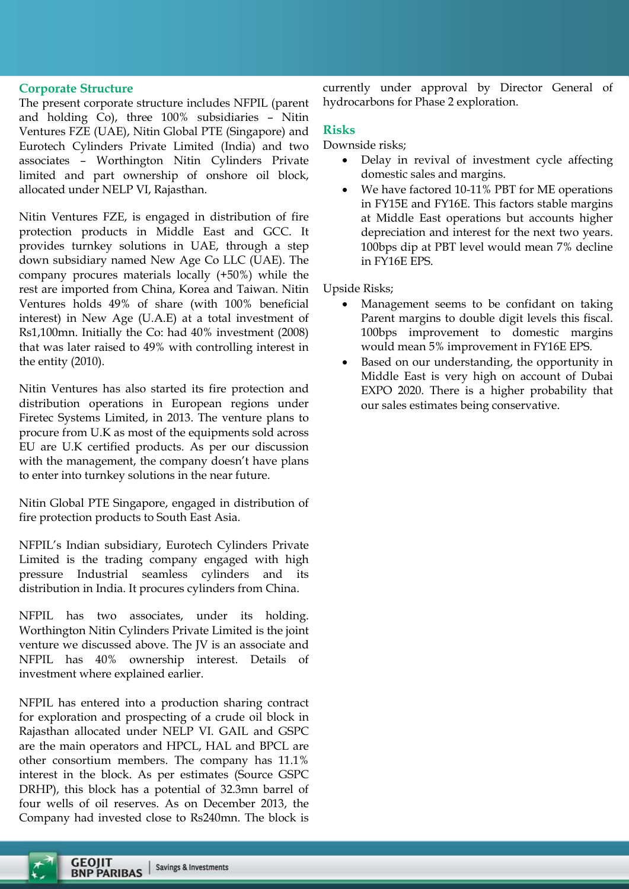# **Corporate Structure**

The present corporate structure includes NFPIL (parent and holding Co), three 100% subsidiaries – Nitin Ventures FZE (UAE), Nitin Global PTE (Singapore) and Eurotech Cylinders Private Limited (India) and two associates – Worthington Nitin Cylinders Private limited and part ownership of onshore oil block, allocated under NELP VI, Rajasthan.

Nitin Ventures FZE, is engaged in distribution of fire protection products in Middle East and GCC. It provides turnkey solutions in UAE, through a step down subsidiary named New Age Co LLC (UAE). The company procures materials locally (+50%) while the rest are imported from China, Korea and Taiwan. Nitin Ventures holds 49% of share (with 100% beneficial interest) in New Age (U.A.E) at a total investment of Rs1,100mn. Initially the Co: had 40% investment (2008) that was later raised to 49% with controlling interest in the entity (2010).

Nitin Ventures has also started its fire protection and distribution operations in European regions under Firetec Systems Limited, in 2013. The venture plans to procure from U.K as most of the equipments sold across EU are U.K certified products. As per our discussion with the management, the company doesn't have plans to enter into turnkey solutions in the near future.

Nitin Global PTE Singapore, engaged in distribution of fire protection products to South East Asia.

NFPIL's Indian subsidiary, Eurotech Cylinders Private Limited is the trading company engaged with high pressure Industrial seamless cylinders and its distribution in India. It procures cylinders from China.

NFPIL has two associates, under its holding. Worthington Nitin Cylinders Private Limited is the joint venture we discussed above. The JV is an associate and NFPIL has 40% ownership interest. Details of investment where explained earlier.

NFPIL has entered into a production sharing contract for exploration and prospecting of a crude oil block in Rajasthan allocated under NELP VI. GAIL and GSPC are the main operators and HPCL, HAL and BPCL are other consortium members. The company has 11.1% interest in the block. As per estimates (Source GSPC DRHP), this block has a potential of 32.3mn barrel of four wells of oil reserves. As on December 2013, the Company had invested close to Rs240mn. The block is

currently under approval by Director General of hydrocarbons for Phase 2 exploration.

### **Risks**

Downside risks;

- Delay in revival of investment cycle affecting domestic sales and margins.
- We have factored 10-11% PBT for ME operations in FY15E and FY16E. This factors stable margins at Middle East operations but accounts higher depreciation and interest for the next two years. 100bps dip at PBT level would mean 7% decline in FY16E EPS.

Upside Risks;

- Management seems to be confidant on taking Parent margins to double digit levels this fiscal. 100bps improvement to domestic margins would mean 5% improvement in FY16E EPS.
- Based on our understanding, the opportunity in Middle East is very high on account of Dubai EXPO 2020. There is a higher probability that our sales estimates being conservative.

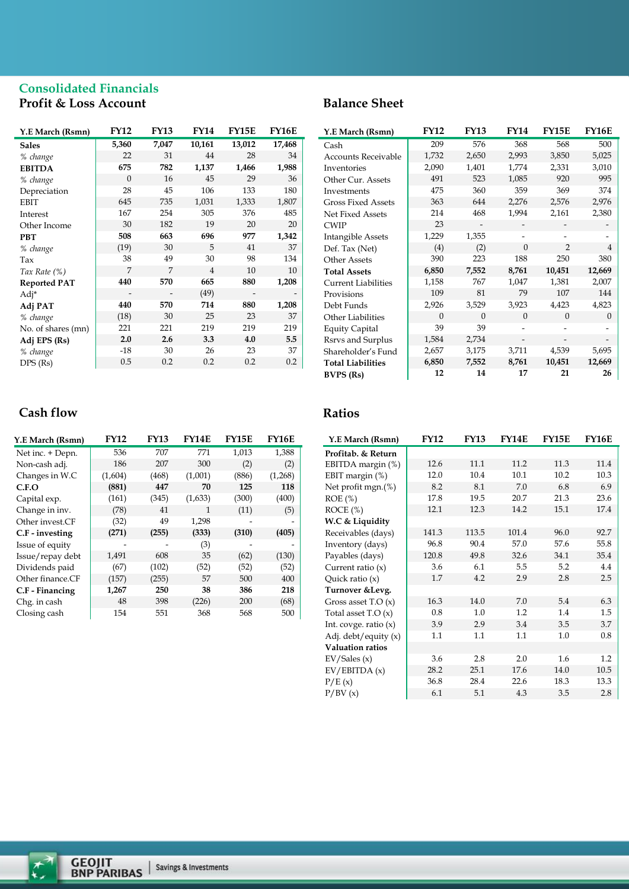# **Consolidated Financials Profit & Loss Account**

| Y.E March (Rsmn)    | <b>FY12</b> | <b>FY13</b> | <b>FY14</b> | <b>FY15E</b> | <b>FY16E</b> |
|---------------------|-------------|-------------|-------------|--------------|--------------|
| <b>Sales</b>        | 5,360       | 7,047       | 10,161      | 13,012       | 17,468       |
| % change            | 22          | 31          | 44          | 28           | 34           |
| <b>EBITDA</b>       | 675         | 782         | 1,137       | 1,466        | 1,988        |
| % change            | $\Omega$    | 16          | 45          | 29           | 36           |
| Depreciation        | 28          | 45          | 106         | 133          | 180          |
| <b>EBIT</b>         | 645         | 735         | 1,031       | 1,333        | 1,807        |
| Interest            | 167         | 254         | 305         | 376          | 485          |
| Other Income        | 30          | 182         | 19          | 20           | 20           |
| <b>PBT</b>          | 508         | 663         | 696         | 977          | 1,342        |
| % change            | (19)        | 30          | 5           | 41           | 37           |
| Tax                 | 38          | 49          | 30          | 98           | 134          |
| Tax Rate (%)        | 7           | 7           | 4           | 10           | 10           |
| <b>Reported PAT</b> | 440         | 570         | 665         | 880          | 1,208        |
| Adj*                |             |             | (49)        |              |              |
| Adj PAT             | 440         | 570         | 714         | 880          | 1,208        |
| % change            | (18)        | 30          | 25          | 23           | 37           |
| No. of shares (mn)  | 221         | 221         | 219         | 219          | 219          |
| Adj EPS (Rs)        | 2.0         | 2.6         | 3.3         | 4.0          | 5.5          |
| % change            | $-18$       | 30          | 26          | 23           | 37           |
| DPS(Rs)             | 0.5         | 0.2         | 0.2         | 0.2          | 0.2          |

# **Cash flow**

| Y.E March (Rsmn) | <b>FY12</b> | <b>FY13</b> | FY14E   | <b>FY15E</b> | <b>FY16E</b> |
|------------------|-------------|-------------|---------|--------------|--------------|
| Net inc. + Depn. | 536         | 707         | 771     | 1,013        | 1,388        |
| Non-cash adj.    | 186         | 207         | 300     | (2)          | (2)          |
| Changes in W.C   | (1,604)     | (468)       | (1,001) | (886)        | (1,268)      |
| C.F.O            | (881)       | 447         | 70      | 125          | 118          |
| Capital exp.     | (161)       | (345)       | (1,633) | (300)        | (400)        |
| Change in inv.   | (78)        | 41          | 1       | (11)         | (5)          |
| Other invest.CF  | (32)        | 49          | 1,298   |              |              |
| C.F - investing  | (271)       | (255)       | (333)   | (310)        | (405)        |
| Issue of equity  |             |             | (3)     |              |              |
| Issue/repay debt | 1,491       | 608         | 35      | (62)         | (130)        |
| Dividends paid   | (67)        | (102)       | (52)    | (52)         | (52)         |
| Other finance.CF | (157)       | (255)       | 57      | 500          | 400          |
| C.F - Financing  | 1,267       | 250         | 38      | 386          | 218          |
| Chg. in cash     | 48          | 398         | (226)   | 200          | (68)         |
| Closing cash     | 154         | 551         | 368     | 568          | 500          |

# **Balance Sheet**

| Y.E March (Rsmn)           | <b>FY12</b> | <b>FY13</b> | <b>FY14</b> | <b>FY15E</b>   | <b>FY16E</b> |
|----------------------------|-------------|-------------|-------------|----------------|--------------|
| Cash                       | 209         | 576         | 368         | 568            | 500          |
| <b>Accounts Receivable</b> | 1,732       | 2,650       | 2,993       | 3,850          | 5,025        |
| Inventories                | 2,090       | 1,401       | 1,774       | 2,331          | 3,010        |
| Other Cur. Assets          | 491         | 523         | 1,085       | 920            | 995          |
| Investments                | 475         | 360         | 359         | 369            | 374          |
| <b>Gross Fixed Assets</b>  | 363         | 644         | 2,276       | 2,576          | 2,976        |
| Net Fixed Assets           | 214         | 468         | 1,994       | 2,161          | 2,380        |
| <b>CWIP</b>                | 23          |             |             |                |              |
| Intangible Assets          | 1,229       | 1,355       |             |                |              |
| Def. Tax (Net)             | (4)         | (2)         | $\Omega$    | $\overline{2}$ | 4            |
| Other Assets               | 390         | 223         | 188         | 250            | 380          |
| <b>Total Assets</b>        | 6,850       | 7,552       | 8,761       | 10,451         | 12,669       |
| <b>Current Liabilities</b> | 1,158       | 767         | 1,047       | 1,381          | 2,007        |
| Provisions                 | 109         | 81          | 79          | 107            | 144          |
| Debt Funds                 | 2,926       | 3,529       | 3,923       | 4,423          | 4,823        |
| Other Liabilities          | $\Omega$    | $\theta$    | $\Omega$    | $\Omega$       | $\Omega$     |
| <b>Equity Capital</b>      | 39          | 39          |             |                |              |
| Rsrvs and Surplus          | 1,584       | 2,734       |             |                |              |
| Shareholder's Fund         | 2,657       | 3,175       | 3,711       | 4,539          | 5,695        |
| <b>Total Liabilities</b>   | 6,850       | 7,552       | 8,761       | 10,451         | 12,669       |
| <b>BVPS</b> (Rs)           | 12          | 14          | 17          | 21             | 26           |

# **Ratios**

| Y.E March (Rsmn)        | <b>FY12</b> | <b>FY13</b> | <b>FY14E</b> | <b>FY15E</b> | <b>FY16E</b> |
|-------------------------|-------------|-------------|--------------|--------------|--------------|
| Profitab. & Return      |             |             |              |              |              |
| EBITDA margin (%)       | 12.6        | 11.1        | 11.2         | 11.3         | 11.4         |
| EBIT margin (%)         | 12.0        | 10.4        | 10.1         | 10.2         | 10.3         |
| Net profit mgn.(%)      | 8.2         | 8.1         | 7.0          | 6.8          | 6.9          |
| $ROE$ (%)               | 17.8        | 19.5        | 20.7         | 21.3         | 23.6         |
| ROCE(%)                 | 12.1        | 12.3        | 14.2         | 15.1         | 17.4         |
| W.C & Liquidity         |             |             |              |              |              |
| Receivables (days)      | 141.3       | 113.5       | 101.4        | 96.0         | 92.7         |
| Inventory (days)        | 96.8        | 90.4        | 57.0         | 57.6         | 55.8         |
| Payables (days)         | 120.8       | 49.8        | 32.6         | 34.1         | 35.4         |
| Current ratio $(x)$     | 3.6         | 6.1         | 5.5          | 5.2          | 4.4          |
| Quick ratio $(x)$       | 1.7         | 4.2         | 2.9          | 2.8          | 2.5          |
| Turnover & Levg.        |             |             |              |              |              |
| Gross asset $T.O(x)$    | 16.3        | 14.0        | 7.0          | 5.4          | 6.3          |
| Total asset $T.O(x)$    | 0.8         | 1.0         | 1.2          | 1.4          | 1.5          |
| Int. covge. ratio $(x)$ | 3.9         | 2.9         | 3.4          | 3.5          | 3.7          |
| Adj. debt/equity (x)    | 1.1         | 1.1         | 1.1          | 1.0          | 0.8          |
| Valuation ratios        |             |             |              |              |              |
| EV/Sales(x)             | 3.6         | 2.8         | 2.0          | 1.6          | 1.2          |
| EV/EBITDA(x)            | 28.2        | 25.1        | 17.6         | 14.0         | 10.5         |
| P/E(x)                  | 36.8        | 28.4        | 22.6         | 18.3         | 13.3         |
| P/BV(x)                 | 6.1         | 5.1         | 4.3          | 3.5          | 2.8          |

 $\vec{t}$